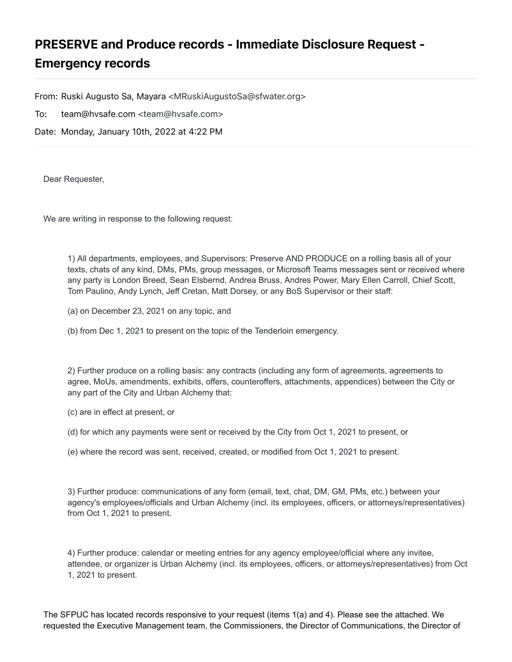## PRESERVE and Produce records - Immediate Disclosure Request - Emergency records

From: Ruski Augusto Sa, Mayara <MRuskiAugustoSa@sfwater.org>

To: team@hvsafe.com <team@hvsafe.com>

Date: Monday, January 10th, 2022 at 4:22 PM

Dear Requester,

We are writing in response to the following request:

1) All departments, employees, and Supervisors: Preserve AND PRODUCE on a rolling basis all of your texts, chats of any kind, DMs, PMs, group messages, or Microsoft Teams messages sent or received where any party is London Breed, Sean Elsbernd, Andrea Bruss, Andres Power, Mary Ellen Carroll, Chief Scott, Tom Paulino, Andy Lynch, Jeff Cretan, Matt Dorsey, or any BoS Supervisor or their staff:

(a) on December 23, 2021 on any topic, and

(b) from Dec 1, 2021 to present on the topic of the Tenderloin emergency.

2) Further produce on a rolling basis: any contracts (including any form of agreements, agreements to agree, MoUs, amendments, exhibits, offers, counteroffers, attachments, appendices) between the City or any part of the City and Urban Alchemy that:

(c) are in effect at present, or

- (d) for which any payments were sent or received by the City from Oct 1, 2021 to present, or
- (e) where the record was sent, received, created, or modified from Oct 1, 2021 to present.

3) Further produce: communications of any form (email, text, chat, DM, GM, PMs, etc.) between your agency's employees/officials and Urban Alchemy (incl. its employees, officers, or attorneys/representatives) from Oct 1, 2021 to present.

4) Further produce: calendar or meeting entries for any agency employee/official where any invitee, attendee, or organizer is Urban Alchemy (incl. its employees, officers, or attorneys/representatives) from Oct 1, 2021 to present.

The SFPUC has located records responsive to your request (items 1(a) and 4). Please see the attached. We requested the Executive Management team, the Commissioners, the Director of Communications, the Director of